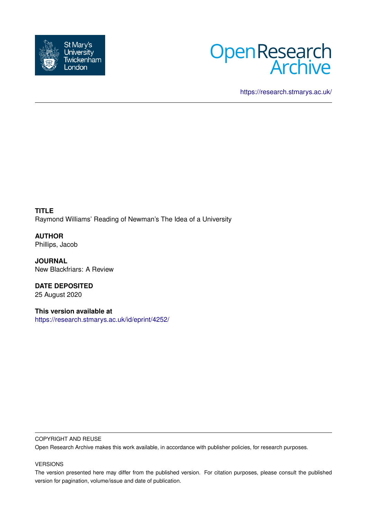



<https://research.stmarys.ac.uk/>

**TITLE** Raymond Williams' Reading of Newman's The Idea of a University

**AUTHOR** Phillips, Jacob

**JOURNAL** New Blackfriars: A Review

**DATE DEPOSITED** 25 August 2020

**This version available at** <https://research.stmarys.ac.uk/id/eprint/4252/>

# COPYRIGHT AND REUSE

Open Research Archive makes this work available, in accordance with publisher policies, for research purposes.

# VERSIONS

The version presented here may differ from the published version. For citation purposes, please consult the published version for pagination, volume/issue and date of publication.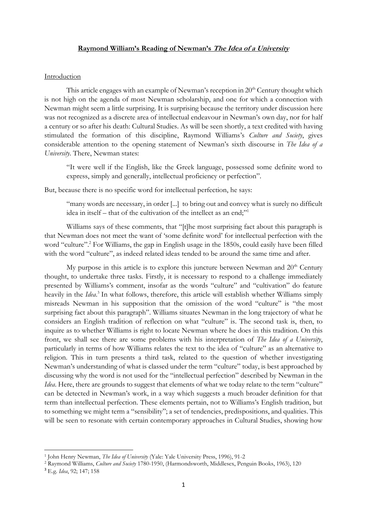### **Raymond William's Reading of Newman's The Idea of a University**

#### **Introduction**

This article engages with an example of Newman's reception in  $20<sup>th</sup>$  Century thought which is not high on the agenda of most Newman scholarship, and one for which a connection with Newman might seem a little surprising. It is surprising because the territory under discussion here was not recognized as a discrete area of intellectual endeavour in Newman's own day, nor for half a century or so after his death: Cultural Studies. As will be seen shortly, a text credited with having stimulated the formation of this discipline, Raymond Williams's *Culture and Society*, gives considerable attention to the opening statement of Newman's sixth discourse in *The Idea of a University*. There, Newman states:

"It were well if the English, like the Greek language, possessed some definite word to express, simply and generally, intellectual proficiency or perfection".

But, because there is no specific word for intellectual perfection, he says:

"many words are necessary, in order [...] to bring out and convey what is surely no difficult idea in itself – that of the cultivation of the intellect as an end;"<sup>1</sup>

Williams says of these comments, that "[t]he most surprising fact about this paragraph is that Newman does not meet the want of 'some definite word' for intellectual perfection with the word "culture". <sup>2</sup> For Williams, the gap in English usage in the 1850s, could easily have been filled with the word "culture", as indeed related ideas tended to be around the same time and after.

My purpose in this article is to explore this juncture between Newman and  $20<sup>th</sup>$  Century thought, to undertake three tasks. Firstly, it is necessary to respond to a challenge immediately presented by Williams's comment, insofar as the words "culture" and "cultivation" do feature heavily in the *Idea*. 3 In what follows, therefore, this article will establish whether Williams simply misreads Newman in his supposition that the omission of the word "culture" is "the most surprising fact about this paragraph". Williams situates Newman in the long trajectory of what he considers an English tradition of reflection on what "culture" is. The second task is, then, to inquire as to whether Williams is right to locate Newman where he does in this tradition. On this front, we shall see there are some problems with his interpretation of *The Idea of a University*, particularly in terms of how Williams relates the text to the idea of "culture" as an alternative to religion. This in turn presents a third task, related to the question of whether investigating Newman's understanding of what is classed under the term "culture" today, is best approached by discussing why the word is not used for the "intellectual perfection" described by Newman in the *Idea*. Here, there are grounds to suggest that elements of what we today relate to the term "culture" can be detected in Newman's work, in a way which suggests a much broader definition for that term than intellectual perfection. These elements pertain, not to Williams's English tradition, but to something we might term a "sensibility"; a set of tendencies, predispositions, and qualities. This will be seen to resonate with certain contemporary approaches in Cultural Studies, showing how

<sup>1</sup> John Henry Newman, *The Idea of University* (Yale: Yale University Press, 1996), 91-2

<sup>2</sup> Raymond Williams, *Culture and Society* 1780-1950, (Harmondsworth, Middlesex, Penguin Books, 1963), 120

<sup>3</sup> E.g. *Idea*, 92; 147; 158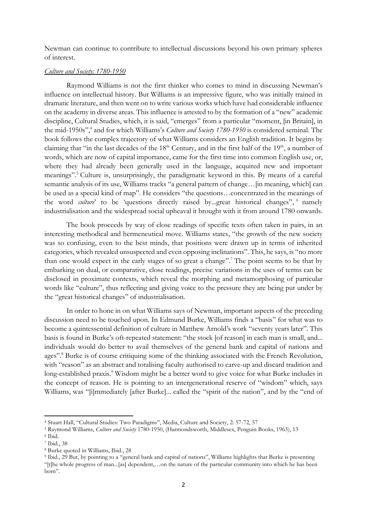Newman can continue to contribute to intellectual discussions beyond his own primary spheres of interest.

## *Culture and Society: 1780-1950*

Raymond Williams is not the first thinker who comes to mind in discussing Newman's influence on intellectual history. But Williams is an impressive figure, who was initially trained in dramatic literature, and then went on to write various works which have had considerable influence on the academy in diverse areas. This influence is attested to by the formation of a "new" academic discipline, Cultural Studies, which, it is said, "emerges" from a particular "moment, [in Britain], in the mid-1950s", 4 and for which Williams's *Culture and Society 1780-1950* is considered seminal. The book follows the complex trajectory of what Williams considers an English tradition. It begins by claiming that "in the last decades of the  $18<sup>th</sup>$  Century, and in the first half of the  $19<sup>th</sup>$ , a number of words, which are now of capital importance, came for the first time into common English use, or, where they had already been generally used in the language, acquired new and important meanings". <sup>5</sup> Culture is, unsurprisingly, the paradigmatic keyword in this. By means of a careful semantic analysis of its use, Williams tracks "a general pattern of change... [in meaning, which] can be used as a special kind of map". He considers "the questions…concentrated in the meanings of the word *culture*' to be 'questions directly raised by...great historical changes", <sup>6</sup> namely industrialisation and the widespread social upheaval it brought with it from around 1780 onwards.

The book proceeds by way of close readings of specific texts often taken in pairs, in an interesting methodical and hermeneutical move. Williams states, "the growth of the new society was so confusing, even to the best minds, that positions were drawn up in terms of inherited categories, which revealed unsuspected and even opposing inclinations". This, he says, is "no more than one would expect in the early stages of so great a change". <sup>7</sup> The point seems to be that by embarking on dual, or comparative, close readings, precise variations in the uses of terms can be disclosed in proximate contexts, which reveal the morphing and metamorphosing of particular words like "culture", thus reflecting and giving voice to the pressure they are being put under by the "great historical changes" of industrialisation.

In order to hone in on what Williams says of Newman, important aspects of the preceding discussion need to be touched upon. In Edmund Burke, Williams finds a "basis" for what was to become a quintessential definition of culture in Matthew Arnold's work "seventy years later". This basis is found in Burke's oft-repeated statement: "the stock [of reason] in each man is small, and... individuals would do better to avail themselves of the general bank and capital of nations and ages". <sup>8</sup> Burke is of course critiquing some of the thinking associated with the French Revolution, with "reason" as an abstract and totalising faculty authorised to carve-up and discard tradition and long-established praxis.<sup>9</sup> Wisdom might be a better word to give voice for what Burke includes in the concept of reason. He is pointing to an intergenerational reserve of "wisdom" which, says Williams, was "[i]mmediately [after Burke]... called the "spirit of the nation", and by the "end of

<sup>4</sup> Stuart Hall, "Cultural Studies: Two Paradigms", Media, Culture and Society, 2: 57-72, 57

<sup>5</sup> Raymond Williams, *Culture and Society* 1780-1950, (Harmondsworth, Middlesex, Penguin Books, 1963), 13

<sup>6</sup> Ibid.

<sup>7</sup> Ibid., 38

<sup>8</sup> Burke quoted in Williams, Ibid., 28

<sup>&</sup>lt;sup>9</sup> Ibid., 29 But, by pointing to a "general bank and capital of nations", Williams highlights that Burke is presenting "[t]he whole progress of man...[as] dependent,…on the nature of the particular community into which he has been born".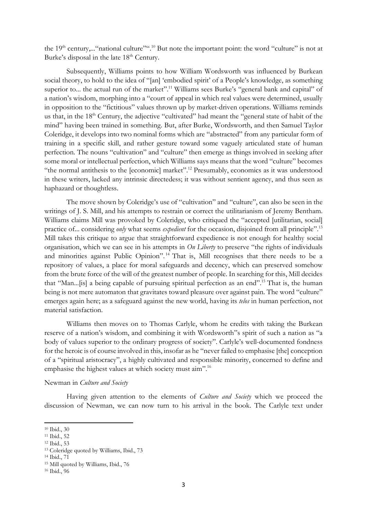the  $19<sup>th</sup>$  century,..." national culture".<sup>10</sup> But note the important point: the word "culture" is not at Burke's disposal in the late 18<sup>th</sup> Century.

Subsequently, Williams points to how William Wordsworth was influenced by Burkean social theory, to hold to the idea of "[an] 'embodied spirit' of a People's knowledge, as something superior to... the actual run of the market".<sup>11</sup> Williams sees Burke's "general bank and capital" of a nation's wisdom, morphing into a "court of appeal in which real values were determined, usually in opposition to the "fictitious" values thrown up by market-driven operations. Williams reminds us that, in the 18<sup>th</sup> Century, the adjective "cultivated" had meant the "general state of habit of the mind" having been trained in something. But, after Burke, Wordsworth, and then Samuel Taylor Coleridge, it develops into two nominal forms which are "abstracted" from any particular form of training in a specific skill, and rather gesture toward some vaguely articulated state of human perfection. The nouns "cultivation" and "culture" then emerge as things involved in seeking after some moral or intellectual perfection, which Williams says means that the word "culture" becomes "the normal antithesis to the [economic] market".<sup>12</sup> Presumably, economics as it was understood in these writers, lacked any intrinsic directedess; it was without sentient agency, and thus seen as haphazard or thoughtless.

The move shown by Coleridge's use of "cultivation" and "culture", can also be seen in the writings of J. S. Mill, and his attempts to restrain or correct the utilitarianism of Jeremy Bentham. Williams claims Mill was provoked by Coleridge, who critiqued the "accepted [utilitarian, social] practice of... considering *only* what seems *expedient* for the occasion, disjoined from all principle".<sup>13</sup> Mill takes this critique to argue that straightforward expedience is not enough for healthy social organisation, which we can see in his attempts in *On Liberty* to preserve "the rights of individuals and minorities against Public Opinion". <sup>14</sup> That is, Mill recognises that there needs to be a repository of values, a place for moral safeguards and decency, which can preserved somehow from the brute force of the will of the greatest number of people. In searching for this, Mill decides that "Man...[is] a being capable of pursuing spiritual perfection as an end". <sup>15</sup> That is, the human being is not mere automaton that gravitates toward pleasure over against pain. The word "culture" emerges again here; as a safeguard against the new world, having its *telos* in human perfection, not material satisfaction.

Williams then moves on to Thomas Carlyle, whom he credits with taking the Burkean reserve of a nation's wisdom, and combining it with Wordsworth"s spirit of such a nation as "a body of values superior to the ordinary progress of society". Carlyle's well-documented fondness for the heroic is of course involved in this, insofar as he "never failed to emphasise [the] conception of a "spiritual aristocracy", a highly cultivated and responsible minority, concerned to define and emphasise the highest values at which society must aim".<sup>16</sup>

## Newman in *Culture and Society*

Having given attention to the elements of *Culture and Society* which we proceed the discussion of Newman, we can now turn to his arrival in the book. The Carlyle text under

<sup>11</sup> Ibid., 52

<sup>14</sup> Ibid., 71

<sup>10</sup> Ibid., 30

<sup>12</sup> Ibid., 53

<sup>13</sup> Coleridge quoted by Williams, Ibid., 73

<sup>15</sup> Mill quoted by Williams, Ibid., 76

<sup>16</sup> Ibid., 96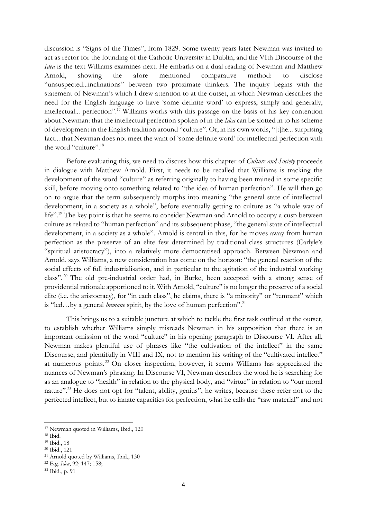discussion is "Signs of the Times", from 1829. Some twenty years later Newman was invited to act as rector for the founding of the Catholic University in Dublin, and the VIth Discourse of the *Idea* is the text Williams examines next. He embarks on a dual reading of Newman and Matthew Arnold, showing the afore mentioned comparative method: to disclose "unsuspected...inclinations" between two proximate thinkers. The inquiry begins with the statement of Newman's which I drew attention to at the outset, in which Newman describes the need for the English language to have 'some definite word' to express, simply and generally, intellectual... perfection". <sup>17</sup> Williams works with this passage on the basis of his key contention about Newman: that the intellectual perfection spoken of in the *Idea* can be slotted in to his scheme of development in the English tradition around "culture". Or, in his own words, "[t]he... surprising fact... that Newman does not meet the want of 'some definite word' for intellectual perfection with the word "culture".<sup>18</sup>

Before evaluating this, we need to discuss how this chapter of *Culture and Society* proceeds in dialogue with Matthew Arnold. First, it needs to be recalled that Williams is tracking the development of the word "culture" as referring originally to having been trained in some specific skill, before moving onto something related to "the idea of human perfection". He will then go on to argue that the term subsequently morphs into meaning "the general state of intellectual development, in a society as a whole", before eventually getting to culture as "a whole way of life".<sup>19</sup> The key point is that he seems to consider Newman and Arnold to occupy a cusp between culture as related to "human perfection" and its subsequent phase, "the general state of intellectual development, in a society as a whole". Arnold is central in this, for he moves away from human perfection as the preserve of an elite few determined by traditional class structures (Carlyle's "spiritual aristocracy"), into a relatively more democratised approach. Between Newman and Arnold, says Williams, a new consideration has come on the horizon: "the general reaction of the social effects of full industrialisation, and in particular to the agitation of the industrial working class". <sup>20</sup> The old pre-industrial order had, in Burke, been accepted with a strong sense of providential rationale apportioned to it. With Arnold, "culture" is no longer the preserve of a social elite (i.e. the aristocracy), for "in each class", he claims, there is "a minority" or "remnant" which is "led…by a general *humane* spirit, by the love of human perfection". 21

This brings us to a suitable juncture at which to tackle the first task outlined at the outset, to establish whether Williams simply misreads Newman in his supposition that there is an important omission of the word "culture" in his opening paragraph to Discourse VI. After all, Newman makes plentiful use of phrases like "the cultivation of the intellect" in the same Discourse, and plentifully in VIII and IX, not to mention his writing of the "cultivated intellect" at numerous points. <sup>22</sup> On closer inspection, however, it seems Williams has appreciated the nuances of Newman's phrasing. In Discourse VI, Newman describes the word he is searching for as an analogue to "health" in relation to the physical body, and "virtue" in relation to "our moral nature".<sup>23</sup> He does not opt for "talent, ability, genius", he writes, because these refer not to the perfected intellect, but to innate capacities for perfection, what he calls the "raw material" and not

<sup>17</sup> Newman quoted in Williams, Ibid., 120

<sup>18</sup> Ibid.

<sup>19</sup> Ibid., 18

<sup>20</sup> Ibid., 121

<sup>21</sup> Arnold quoted by Williams, Ibid., 130

<sup>22</sup> E.g. *Idea*, 92; 147; 158;

<sup>23</sup> Ibid., p. 91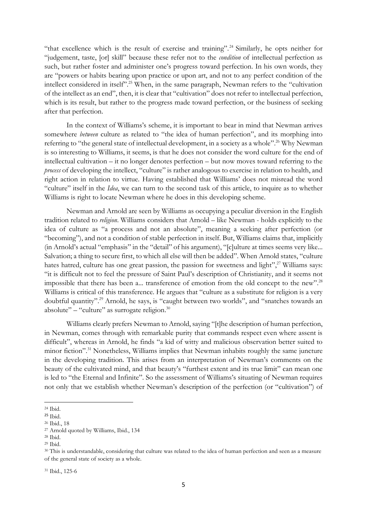"that excellence which is the result of exercise and training".<sup>24</sup> Similarly, he opts neither for "judgement, taste, [or] skill" because these refer not to the *condition* of intellectual perfection as such, but rather foster and administer one's progress toward perfection. In his own words, they are "powers or habits bearing upon practice or upon art, and not to any perfect condition of the intellect considered in itself".<sup>25</sup> When, in the same paragraph, Newman refers to the "cultivation" of the intellect as an end", then, it is clear that "cultivation" does not refer to intellectual perfection, which is its result, but rather to the progress made toward perfection, or the business of seeking after that perfection.

In the context of Williams's scheme, it is important to bear in mind that Newman arrives somewhere *between* culture as related to "the idea of human perfection", and its morphing into referring to "the general state of intellectual development, in a society as a whole".<sup>26</sup> Why Newman is so interesting to Williams, it seems, is that he does not consider the word culture for the end of intellectual cultivation – it no longer denotes perfection – but now moves toward referring to the *process* of developing the intellect, "culture" is rather analogous to exercise in relation to health, and right action in relation to virtue. Having established that Williams' does not misread the word "culture" itself in the *Idea*, we can turn to the second task of this article, to inquire as to whether Williams is right to locate Newman where he does in this developing scheme.

Newman and Arnold are seen by Williams as occupying a peculiar diversion in the English tradition related to *religion*. Williams considers that Arnold – like Newman - holds explicitly to the idea of culture as "a process and not an absolute", meaning a seeking after perfection (or "becoming"), and not a condition of stable perfection in itself. But, Williams claims that, implicitly (in Arnold's actual "emphasis" in the "detail" of his argument), "[c]ulture at times seems very like... Salvation; a thing to secure first, to which all else will then be added". When Arnold states, "culture hates hatred, culture has one great passion, the passion for sweetness and light",<sup>27</sup> Williams says: "it is difficult not to feel the pressure of Saint Paul's description of Christianity, and it seems not impossible that there has been a... transference of emotion from the old concept to the new".<sup>28</sup> Williams is critical of this transference. He argues that "culture as a substitute for religion is a very doubtful quantity". <sup>29</sup> Arnold, he says, is "caught between two worlds", and "snatches towards an absolute"  $-$  "culture" as surrogate religion. $30$ 

Williams clearly prefers Newman to Arnold, saying "[t]he description of human perfection, in Newman, comes through with remarkable purity that commands respect even where assent is difficult", whereas in Arnold, he finds "a kid of witty and malicious observation better suited to minor fiction".<sup>31</sup> Nonetheless, Williams implies that Newman inhabits roughly the same juncture in the developing tradition. This arises from an interpretation of Newman's comments on the beauty of the cultivated mind, and that beauty's "furthest extent and its true limit" can mean one is led to "the Eternal and Infinite". So the assessment of Williams's situating of Newman requires not only that we establish whether Newman's description of the perfection (or "cultivation") of

<sup>24</sup> Ibid.

<sup>25</sup> Ibid.

<sup>26</sup> Ibid., 18

<sup>27</sup> Arnold quoted by Williams, Ibid., 134

<sup>28</sup> Ibid.

<sup>29</sup> Ibid.

<sup>&</sup>lt;sup>30</sup> This is understandable, considering that culture was related to the idea of human perfection and seen as a measure of the general state of society as a whole.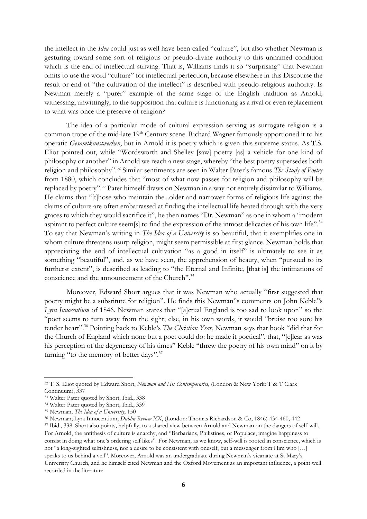the intellect in the *Idea* could just as well have been called "culture", but also whether Newman is gesturing toward some sort of religious or pseudo-divine authority to this unnamed condition which is the end of intellectual striving. That is, Williams finds it so "surprising" that Newman omits to use the word "culture" for intellectual perfection, because elsewhere in this Discourse the result or end of "the cultivation of the intellect" is described with pseudo-religious authority. Is Newman merely a "purer" example of the same stage of the English tradition as Arnold; witnessing, unwittingly, to the supposition that culture is functioning as a rival or even replacement to what was once the preserve of religion?

The idea of a particular mode of cultural expression serving as surrogate religion is a common trope of the mid-late 19<sup>th</sup> Century scene. Richard Wagner famously apportioned it to his operatic *Gesamtkunstwerken*, but in Arnold it is poetry which is given this supreme status. As T.S. Eliot pointed out, while "Wordsworth and Shelley [saw] poetry [as] a vehicle for one kind of philosophy or another" in Arnold we reach a new stage, whereby "the best poetry supersedes both religion and philosophy". <sup>32</sup> Similar sentiments are seen in Walter Pater's famous *The Study of Poetry* from 1880, which concludes that "most of what now passes for religion and philosophy will be replaced by poetry".<sup>33</sup> Pater himself draws on Newman in a way not entirely dissimilar to Williams. He claims that "[t]hose who maintain the...older and narrower forms of religious life against the claims of culture are often embarrassed at finding the intellectual life heated through with the very graces to which they would sacrifice it", he then names "Dr. Newman" as one in whom a "modern aspirant to perfect culture seem[s] to find the expression of the inmost delicacies of his own life".<sup>34</sup> To say that Newman's writing in *The Idea of a University* is so beautiful, that it exemplifies one in whom culture threatens usurp religion, might seem permissible at first glance. Newman holds that appreciating the end of intellectual cultivation "as a good in itself" is ultimately to see it as something "beautiful", and, as we have seen, the apprehension of beauty, when "pursued to its furtherst extent", is described as leading to "the Eternal and Infinite, [that is] the intimations of conscience and the announcement of the Church".<sup>35</sup>

Moreover, Edward Short argues that it was Newman who actually "first suggested that poetry might be a substitute for religion". He finds this Newman"s comments on John Keble"s *Lyra Innocentium* of 1846. Newman states that "[a]ctual England is too sad to look upon" so the "poet seems to turn away from the sight; else, in his own words, it would "bruise too sore his tender heart".<sup>36</sup> Pointing back to Keble's *The Christian Year*, Newman says that book "did that for the Church of England which none but a poet could do: he made it poetical", that, "[c]lear as was his perception of the degeneracy of his times" Keble "threw the poetry of his own mind" on it by turning "to the memory of better days".<sup>37</sup>

<sup>32</sup> T. S. Eliot quoted by Edward Short, *Newman and His Contemporaries*, (London & New York: T & T Clark Continuum), 337

<sup>33</sup> Walter Pater quoted by Short, Ibid., 338

<sup>34</sup> Walter Pater quoted by Short, Ibid., 339

<sup>35</sup> Newman, *The Idea of a University*, 150

<sup>36</sup> Newman, Lyra Innocentium, *Dublin Review XX*, (London: Thomas Richardson & Co, 1846) 434-460, 442

<sup>37</sup> Ibid., 338. Short also points, helpfully, to a shared view between Arnold and Newman on the dangers of self-will. For Arnold, the antithesis of culture is anarchy, and "Barbarians, Philistines, or Populace, imagine happiness to consist in doing what one's ordering self likes". For Newman, as we know, self-will is rooted in conscience, which is not "a long-sighted selfishness, nor a desire to be consistent with oneself, but a messenger from Him who […] speaks to us behind a veil". Moreover, Arnold was an undergraduate during Newman's vicariate at St Mary's University Church, and he himself cited Newman and the Oxford Movement as an important influence, a point well recorded in the literature.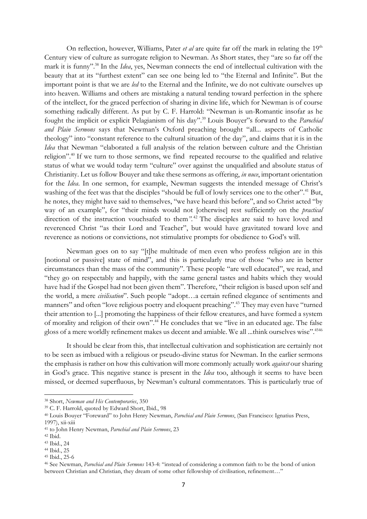On reflection, however, Williams, Pater *et al* are quite far off the mark in relating the 19<sup>th</sup> Century view of culture as surrogate religion to Newman. As Short states, they "are so far off the mark it is funny". <sup>38</sup> In the *Idea*, yes, Newman connects the end of intellectual cultivation with the beauty that at its "furthest extent" can see one being led to "the Eternal and Infinite". But the important point is that we are *led* to the Eternal and the Infinite, we do not cultivate ourselves up into heaven. Williams and others are mistaking a natural tending toward perfection in the sphere of the intellect, for the graced perfection of sharing in divine life, which for Newman is of course something radically different. As put by C. F. Harrold: "Newman is un-Romantic insofar as he fought the implicit or explicit Pelagianism of his day".<sup>39</sup> Louis Bouyer"s forward to the *Parochial and Plain Sermons* says that Newman's Oxford preaching brought "all... aspects of Catholic theology" into "constant reference to the cultural situation of the day", and claims that it is in the *Idea* that Newman "elaborated a full analysis of the relation between culture and the Christian religion".<sup>40</sup> If we turn to those sermons, we find repeated recourse to the qualified and relative status of what we would today term "culture" over against the unqualified and absolute status of Christianity. Let us follow Bouyer and take these sermons as offering, *in nuce*, important orientation for the *Idea*. In one sermon, for example, Newman suggests the intended message of Christ's washing of the feet was that the disciples "should be full of lowly services one to the other".<sup>41</sup> But, he notes, they might have said to themselves, "we have heard this before", and so Christ acted "by way of an example", for "their minds would not [otherwise] rest sufficiently on the *practical* direction of the instruction vouchsafed to them*".* <sup>42</sup> The disciples are said to have loved and reverenced Christ "as their Lord and Teacher", but would have gravitated toward love and reverence as notions or convictions, not stimulative prompts for obedience to God's will.

Newman goes on to say "[t]he multitude of men even who profess religion are in this [notional or passive] state of mind", and this is particularly true of those "who are in better circumstances than the mass of the community". These people "are well educated", we read, and "they go on respectably and happily, with the same general tastes and habits which they would have had if the Gospel had not been given them". Therefore, "their religion is based upon self and the world, a mere *civilisation*". Such people "adopt…a certain refined elegance of sentiments and manners" and often "love religious poetry and eloquent preaching".<sup>43</sup> They may even have "turned their attention to [...] promoting the happiness of their fellow creatures, and have formed a system of morality and religion of their own". <sup>44</sup> He concludes that we "live in an educated age. The false gloss of a mere worldly refinement makes us decent and amiable. We all ...think ourselves wise".<sup>4546</sup>

It should be clear from this, that intellectual cultivation and sophistication are certainly not to be seen as imbued with a religious or pseudo-divine status for Newman. In the earlier sermons the emphasis is rather on how this cultivation will more commonly actually work *against* our sharing in God's grace. This negative stance is present in the *Idea* too, although it seems to have been missed, or deemed superfluous, by Newman's cultural commentators. This is particularly true of

<sup>38</sup> Short, *Newman and His Contemporaries*, 350

<sup>39</sup> C. F. Harrold, quoted by Edward Short, Ibid., 98

<sup>40</sup> Louis Bouyer "Foreward" to John Henry Newman, *Parochial and Plain Sermons*, (San Francisco: Ignatius Press, 1997), xii-xiii

<sup>41</sup> to John Henry Newman, *Parochial and Plain Sermons*, 23

 $42$  Ibid.

<sup>43</sup> Ibid., 24

<sup>44</sup> Ibid., 25

<sup>45</sup> Ibid., 25-6

<sup>46</sup> See Newman, *Parochial and Plain Sermons* 143-4: "instead of considering a common faith to be the bond of union between Christian and Christian, they dream of some other fellowship of civilisation, refinement…"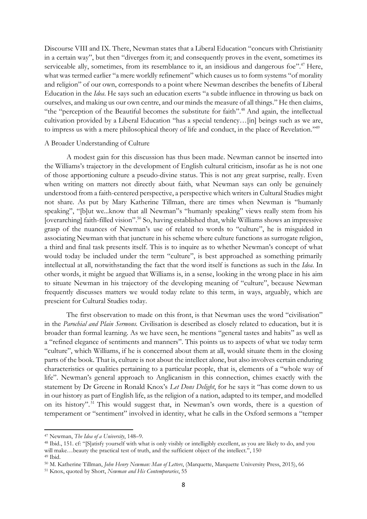Discourse VIII and IX. There, Newman states that a Liberal Education "concurs with Christianity in a certain way", but then "diverges from it; and consequently proves in the event, sometimes its serviceable ally, sometimes, from its resemblance to it, an insidious and dangerous foe".<sup>47</sup> Here, what was termed earlier "a mere worldly refinement" which causes us to form systems "of morality and religion" of our own, corresponds to a point where Newman describes the benefits of Liberal Education in the *Idea*. He says such an education exerts "a subtle influence in throwing us back on ourselves, and making us our own centre, and our minds the measure of all things." He then claims, "the "perception of the Beautiful becomes the substitute for faith".<sup>48</sup> And again, the intellectual cultivation provided by a Liberal Education "has a special tendency…[in] beings such as we are, to impress us with a mere philosophical theory of life and conduct, in the place of Revelation."<sup>49</sup>

#### A Broader Understanding of Culture

A modest gain for this discussion has thus been made. Newman cannot be inserted into the Williams's trajectory in the development of English cultural criticism, insofar as he is not one of those apportioning culture a pseudo-divine status. This is not any great surprise, really. Even when writing on matters not directly about faith, what Newman says can only be genuinely understood from a faith-centered perspective, a perspective which writers in Cultural Studies might not share. As put by Mary Katherine Tillman, there are times when Newman is "humanly speaking", "[b]ut we...know that all Newman"s "humanly speaking" views really stem from his [overarching] faith-filled vision".<sup>50</sup> So, having established that, while Williams shows an impressive grasp of the nuances of Newman's use of related to words to "culture", he is misguided in associating Newman with that juncture in his scheme where culture functions as surrogate religion, a third and final task presents itself. This is to inquire as to whether Newman's concept of what would today be included under the term "culture", is best approached as something primarily intellectual at all, notwithstanding the fact that the word itself is functions as such in the *Idea*. In other words, it might be argued that Williams is, in a sense, looking in the wrong place in his aim to situate Newman in his trajectory of the developing meaning of "culture", because Newman frequently discusses matters we would today relate to this term, in ways, arguably, which are prescient for Cultural Studies today.

The first observation to made on this front, is that Newman uses the word "civilisation" in the *Parochial and Plain Sermons.* Civilisation is described as closely related to education, but it is broader than formal learning. As we have seen, he mentions "general tastes and habits" as well as a "refined elegance of sentiments and manners". This points us to aspects of what we today term "culture", which Williams, if he is concerned about them at all, would situate them in the closing parts of the book. That is, culture is not about the intellect alone, but also involves certain enduring characteristics or qualities pertaining to a particular people, that is, elements of a "whole way of life". Newman's general approach to Anglicanism in this connection, chimes exactly with the statement by Dr Greene in Ronald Knox's *Let Dons Delight*, for he says it "has come down to us in our history as part of English life, as the religion of a nation, adapted to its temper, and modelled on its history". <sup>51</sup> This would suggest that, in Newman's own words, there is a question of temperament or "sentiment" involved in identity, what he calls in the Oxford sermons a "temper

<sup>47</sup> Newman, *The Idea of a University*, 148–9.

<sup>48</sup> Ibid., 151. cf: "[S]atisfy yourself with what is only visibly or intelligibly excellent, as you are likely to do, and you will make…beauty the practical test of truth, and the sufficient object of the intellect.", 150 <sup>49</sup> Ibid.

<sup>50</sup> M. Katherine Tillman, *John Henry Newman: Man of Letters*, (Marquette, Marquette University Press, 2015), 66

<sup>51</sup> Knox, quoted by Short, *Newman and His Contemporaries*, 55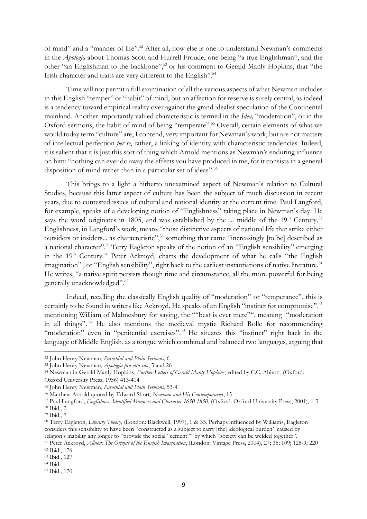of mind" and a "manner of life".<sup>52</sup> After all, how else is one to understand Newman's comments in the *Apologia* about Thomas Scott and Hurrell Froude, one being "a true Englishman", and the other "an Englishman to the backbone", <sup>53</sup> or his comment to Gerald Manly Hopkins, that "the Irish character and traits are very different to the English". 54

Time will not permit a full examination of all the various aspects of what Newman includes in this English "temper" or "habit" of mind, but an affection for reserve is surely central, as indeed is a tendency toward empirical reality over against the grand idealist speculation of the Continental mainland. Another importantly valued characteristic is termed in the *Idea,* "moderation", or in the Oxford sermons, the habit of mind of being "temperate". <sup>55</sup> Overall, certain elements of what we would today term "culture" are, I contend, very important for Newman's work, but are not matters of intellectual perfection *per se*, rather, a linking of identity with characteristic tendencies. Indeed, it is salient that it is just this sort of thing which Arnold mentions as Newman's enduring influence on him: "nothing can ever do away the effects you have produced in me, for it consists in a general disposition of mind rather than in a particular set of ideas".<sup>56</sup>

This brings to a light a hitherto unexamined aspect of Newman's relation to Cultural Studies, because this latter aspect of culture has been the subject of much discussion in recent years, due to contested issues of cultural and national identity at the current time. Paul Langford, for example, speaks of a developing notion of "Englishness" taking place in Newman's day. He says the word originates in 1805, and was established by the ... middle of the  $19<sup>th</sup>$  Century.<sup>57</sup> Englishness, in Langford's work, means "those distinctive aspects of national life that strike either outsiders or insiders... as characteristic", <sup>58</sup> something that came "increasingly [to be] described as a national character".<sup>59</sup> Terry Eagleton speaks of the notion of an "English sensibility" emerging in the  $19<sup>th</sup>$  Century.<sup>60</sup> Peter Ackroyd, charts the development of what he calls "the English imagination", or "English sensibility", right back to the earliest instantiations of native literature.<sup>61</sup> He writes, "a native spirit persists though time and circumstance, all the more powerful for being generally unacknowledged".<sup>62</sup>

Indeed, recalling the classically English quality of "moderation" or "temperance", this is certainly to be found in writers like Ackroyd. He speaks of an English "instinct for compromise", " mentioning William of Malmesbury for saying, the ""best is ever mete"", meaning "moderation in all things". <sup>64</sup> He also mentions the medieval mystic Richard Rolle for recommending "moderation" even in "penitential exercises".<sup>65</sup> He situates this "instinct" right back in the language of Middle English, as a tongue which combined and balanced two languages, arguing that

<sup>52</sup> John Henry Newman, *Parochial and Plain Sermons*, 6

<sup>53</sup> John Henry Newman, *Apologia pro vita sua*, 5 and 26

<sup>54</sup> Newman in Gerald Manly Hopkins, *Further Letters of Gerald Manly Hopkins*, edited by C.C. Abbott, (Oxford: Oxford University Press, 1956) 413-414

<sup>55</sup> John Henry Newman, *Parochial and Plain Sermons*, 53-4

<sup>56</sup> Matthew Arnold quoted by Edward Short, *Newman and His Contemporaries*, 15

<sup>57</sup> Paul Langford, *Englishness Identified Manners and Character 1650-1850*, (Oxford: Oxford University Press, 2001), 1-3

<sup>58</sup> Ibid., 2

<sup>59</sup> Ibid., 7

<sup>60</sup> Terry Eagleton, *Literary Theory*, (London: Blackwell, 1997), 1 & 33. Perhaps influenced by Williams, Eagleton considers this sensibility to have been "constructed as a subject to carry [the] ideological burden" caused by religion's inability any longer to "provide the social "cement"" by which "society can be welded together".

<sup>61</sup> Peter Ackroyd, *Albion: The Origins of the English Imagination*, (London: Vintage Press, 2004), 27; 35; 109; 128-9; 220 <sup>62</sup> Ibid., 176

<sup>63</sup> Ibid., 127

<sup>64</sup> Ibid.

<sup>65</sup> Ibid., 170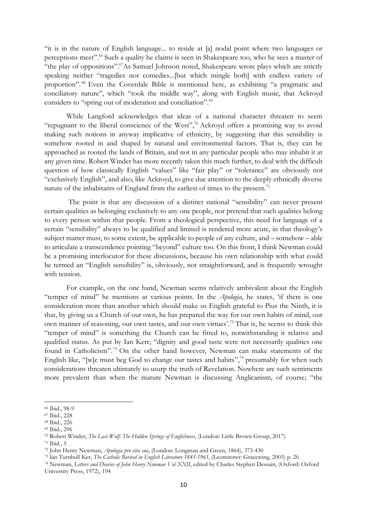"it is in the nature of English language... to reside at [a] nodal point where two languages or perceptions meet".<sup>66</sup> Such a quality he claims is seen in Shakespeare too, who he sees a master of "the play of oppositions".<sup>67</sup>As Samuel Johnson noted, Shakespeare wrote plays which are strictly speaking neither "tragedies nor comedies...[but which mingle both] with endless variety of proportion". <sup>68</sup> Even the Coverdale Bible is mentioned here, as exhibiting "a pragmatic and conciliatory nature", which "took the middle way", along with English music, that Ackroyd considers to "spring out of moderation and conciliation".<sup>69</sup>

While Langford acknowledges that ideas of a national character threaten to seem "repugnant to the liberal conscience of the West",<sup>70</sup> Ackroyd offers a promising way to avoid making such notions in anyway implicative of ethnicity, by suggesting that this sensibility is somehow rooted in and shaped by natural and environmental factors. That is, they can be approached as rooted the lands of Britain, and not in any particular people who may inhabit it at any given time. Robert Winder has more recently taken this much further, to deal with the difficult question of how classically English "values" like "fair play" or "tolerance" are obviously not "exclusively English", and also, like Ackroyd, to give due attention to the deeply ethnically diverse nature of the inhabitants of England from the earliest of times to the present.<sup>71</sup>

The point is that any discussion of a distinct national "sensibility" can never present certain qualities as belonging exclusively to any one people, nor pretend that such qualities belong to every person within that people. From a theological perspective, this need for language of a certain "sensibility" always to be qualified and limited is rendered more acute, in that theology's subject matter must, to some extent, be applicable to people of any culture, and – somehow – able to articulate a transcendence pointing "beyond" culture too. On this front, I think Newman could be a promising interlocutor for these discussions, because his own relationship with what could be termed an "English sensibility" is, obviously, not straightforward, and is frequently wrought with tension.

For example, on the one hand, Newman seems relatively ambivalent about the English "temper of mind" he mentions at various points. In the *Apologia*, he states, 'if there is one consideration more than another which should make us English grateful to Pius the Ninth, it is that, by giving us a Church of our own, he has prepared the way for our own habits of mind, our own manner of reasoning, our own tastes, and our own virtues'.<sup>72</sup> That is, he seems to think this "temper of mind" is something the Church can be fitted to, notwithstanding it relative and qualified status. As put by Ian Kerr, "dignity and good taste were not necessarily qualities one found in Catholicism". <sup>73</sup> On the other hand however, Newman can make statements of the English like, "[w]e must beg God to change our tastes and habits",<sup>74</sup> presumably for when such considerations threaten ultimately to usurp the truth of Revelation. Nowhere are such sentiments more prevalent than when the mature Newman is discussing Anglicanism, of course; "the

<sup>66</sup> Ibid., 98-9

<sup>67</sup> Ibid., 228

<sup>68</sup> Ibid., 226

<sup>69</sup> Ibid., 296

<sup>70</sup> Robert Winder, *The Last Wolf: The Hidden Springs of Englishness*, (London: Little Brown Group, 2017) <sup>71</sup> Ibid., 5

<sup>72</sup> John Henry Newman, *Apologia pro vita sua*, (London: Longman and Green, 1864), 373-430

<sup>73</sup> Ian Turnbull Ker, *The Catholic Revival in English Literature 1845-1961*, (Leominster: Gracewing, 2003) p. 26

<sup>74</sup> Newman, *Letters and Diaries of John Henry Newman Vol XXII*, edited by Charles Stephen Dessain, (Oxford: Oxford University Press, 1972), 194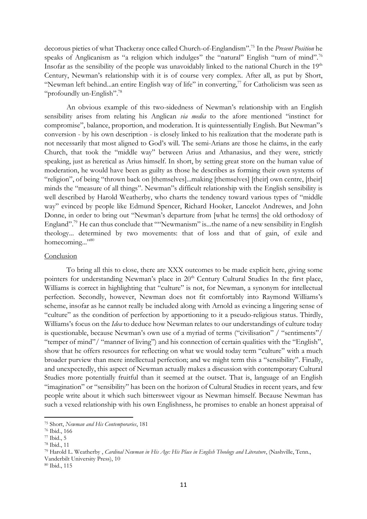decorous pieties of what Thackeray once called Church-of-Englandism". <sup>75</sup> In the *Present Position* he speaks of Anglicanism as "a religion which indulges" the "natural" English "turn of mind".<sup>76</sup> Insofar as the sensibility of the people was unavoidably linked to the national Church in the  $19<sup>th</sup>$ Century, Newman's relationship with it is of course very complex. After all, as put by Short, "Newman left behind...an entire English way of life" in converting, $\frac{7}{7}$  for Catholicism was seen as "profoundly un-English". 78

An obvious example of this two-sidedness of Newman's relationship with an English sensibility arises from relating his Anglican *via media* to the afore mentioned "instinct for compromise", balance, proportion, and moderation. It is quintessentially English. But Newman"s conversion - by his own description - is closely linked to his realization that the moderate path is not necessarily that most aligned to God's will. The semi-Arians are those he claims, in the early Church, that took the "middle way" between Arius and Athanasius, and they were, strictly speaking, just as heretical as Arius himself. In short, by setting great store on the human value of moderation, he would have been as guilty as those he describes as forming their own systems of "religion", of being "thrown back on [themselves]...making [themselves] [their] own centre, [their] minds the "measure of all things". Newman"s difficult relationship with the English sensibility is well described by Harold Weatherby, who charts the tendency toward various types of "middle way" evinced by people like Edmund Spencer, Richard Hooker, Lancelot Andrewes, and John Donne, in order to bring out "Newman's departure from [what he terms] the old orthodoxy of England".<sup>79</sup> He can thus conclude that ""Newmanism" is...the name of a new sensibility in English theology... determined by two movements: that of loss and that of gain, of exile and homecoming..."<sup>80</sup>

#### Conclusion

To bring all this to close, there are XXX outcomes to be made explicit here, giving some pointers for understanding Newman's place in 20<sup>th</sup> Century Cultural Studies In the first place, Williams is correct in highlighting that "culture" is not, for Newman, a synonym for intellectual perfection. Secondly, however, Newman does not fit comfortably into Raymond Williams's scheme, insofar as he cannot really be included along with Arnold as evincing a lingering sense of "culture" as the condition of perfection by apportioning to it a pseudo-religious status. Thirdly, Williams's focus on the *Idea* to deduce how Newman relates to our understandings of culture today is questionable, because Newman's own use of a myriad of terms ("civilisation" / "sentiments"/ "temper of mind"/ "manner of living") and his connection of certain qualities with the "English", show that he offers resources for reflecting on what we would today term "culture" with a much broader purview than mere intellectual perfection; and we might term this a "sensibility". Finally, and unexpectedly, this aspect of Newman actually makes a discussion with contemporary Cultural Studies more potentially fruitful than it seemed at the outset. That is, language of an English "imagination" or "sensibility" has been on the horizon of Cultural Studies in recent years, and few people write about it which such bittersweet vigour as Newman himself. Because Newman has such a vexed relationship with his own Englishness, he promises to enable an honest appraisal of

<sup>75</sup> Short, *Newman and His Contemporaries*, 181

<sup>76</sup> Ibid., 166

<sup>77</sup> Ibid., 5

<sup>78</sup> Ibid., 11

<sup>79</sup> Harold L. Weatherby , *Cardinal Newman in His Age: His Place in English Theology and Literature*, (Nashville, Tenn., Vanderbilt University Press), 10

<sup>80</sup> Ibid., 115